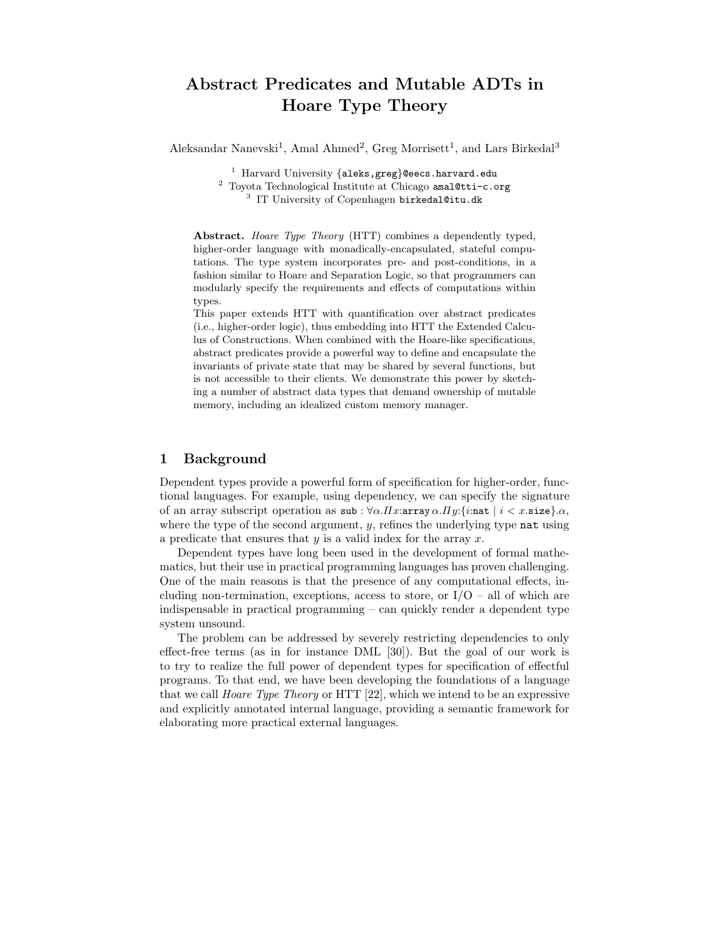# Abstract Predicates and Mutable ADTs in Hoare Type Theory

Aleksandar Nanevski<sup>1</sup>, Amal Ahmed<sup>2</sup>, Greg Morrisett<sup>1</sup>, and Lars Birkedal<sup>3</sup>

<sup>1</sup> Harvard University {aleks, greg}@eecs.harvard.edu

<sup>2</sup> Toyota Technological Institute at Chicago amal@tti-c.org

<sup>3</sup> IT University of Copenhagen birkedal@itu.dk

Abstract. Hoare Type Theory (HTT) combines a dependently typed, higher-order language with monadically-encapsulated, stateful computations. The type system incorporates pre- and post-conditions, in a fashion similar to Hoare and Separation Logic, so that programmers can modularly specify the requirements and effects of computations within types.

This paper extends HTT with quantification over abstract predicates (i.e., higher-order logic), thus embedding into HTT the Extended Calculus of Constructions. When combined with the Hoare-like specifications, abstract predicates provide a powerful way to define and encapsulate the invariants of private state that may be shared by several functions, but is not accessible to their clients. We demonstrate this power by sketching a number of abstract data types that demand ownership of mutable memory, including an idealized custom memory manager.

# 1 Background

Dependent types provide a powerful form of specification for higher-order, functional languages. For example, using dependency, we can specify the signature of an array subscript operation as  $\text{sub}: \forall \alpha \cdot \Pi x$ : array  $\alpha \cdot \Pi y$ : {*i*:nat | *i* < x.size}. $\alpha$ , where the type of the second argument,  $y$ , refines the underlying type nat using a predicate that ensures that  $y$  is a valid index for the array  $x$ .

Dependent types have long been used in the development of formal mathematics, but their use in practical programming languages has proven challenging. One of the main reasons is that the presence of any computational effects, including non-termination, exceptions, access to store, or  $I/O - all$  of which are indispensable in practical programming – can quickly render a dependent type system unsound.

The problem can be addressed by severely restricting dependencies to only effect-free terms (as in for instance DML [30]). But the goal of our work is to try to realize the full power of dependent types for specification of effectful programs. To that end, we have been developing the foundations of a language that we call Hoare Type Theory or HTT [22], which we intend to be an expressive and explicitly annotated internal language, providing a semantic framework for elaborating more practical external languages.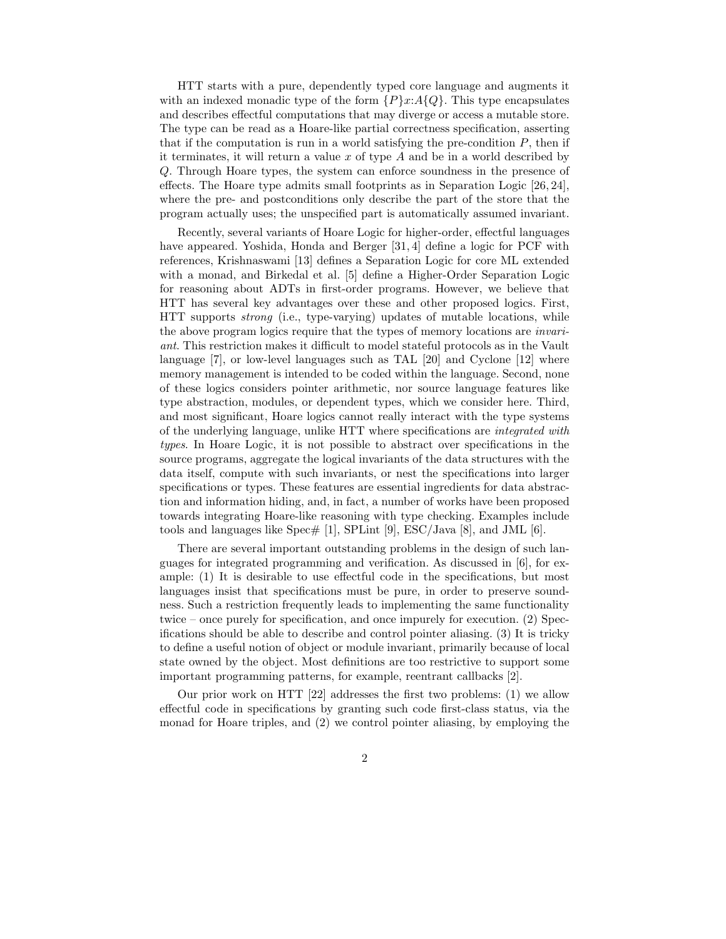HTT starts with a pure, dependently typed core language and augments it with an indexed monadic type of the form  $\{P\}x:A\{Q\}$ . This type encapsulates and describes effectful computations that may diverge or access a mutable store. The type can be read as a Hoare-like partial correctness specification, asserting that if the computation is run in a world satisfying the pre-condition  $P$ , then if it terminates, it will return a value  $x$  of type  $A$  and be in a world described by Q. Through Hoare types, the system can enforce soundness in the presence of effects. The Hoare type admits small footprints as in Separation Logic [26, 24], where the pre- and postconditions only describe the part of the store that the program actually uses; the unspecified part is automatically assumed invariant.

Recently, several variants of Hoare Logic for higher-order, effectful languages have appeared. Yoshida, Honda and Berger [31, 4] define a logic for PCF with references, Krishnaswami [13] defines a Separation Logic for core ML extended with a monad, and Birkedal et al. [5] define a Higher-Order Separation Logic for reasoning about ADTs in first-order programs. However, we believe that HTT has several key advantages over these and other proposed logics. First, HTT supports strong (i.e., type-varying) updates of mutable locations, while the above program logics require that the types of memory locations are invariant. This restriction makes it difficult to model stateful protocols as in the Vault language [7], or low-level languages such as TAL [20] and Cyclone [12] where memory management is intended to be coded within the language. Second, none of these logics considers pointer arithmetic, nor source language features like type abstraction, modules, or dependent types, which we consider here. Third, and most significant, Hoare logics cannot really interact with the type systems of the underlying language, unlike HTT where specifications are integrated with types. In Hoare Logic, it is not possible to abstract over specifications in the source programs, aggregate the logical invariants of the data structures with the data itself, compute with such invariants, or nest the specifications into larger specifications or types. These features are essential ingredients for data abstraction and information hiding, and, in fact, a number of works have been proposed towards integrating Hoare-like reasoning with type checking. Examples include tools and languages like  $Spec \# [1]$ , SPLint [9], ESC/Java [8], and JML [6].

There are several important outstanding problems in the design of such languages for integrated programming and verification. As discussed in [6], for example: (1) It is desirable to use effectful code in the specifications, but most languages insist that specifications must be pure, in order to preserve soundness. Such a restriction frequently leads to implementing the same functionality twice – once purely for specification, and once impurely for execution. (2) Specifications should be able to describe and control pointer aliasing. (3) It is tricky to define a useful notion of object or module invariant, primarily because of local state owned by the object. Most definitions are too restrictive to support some important programming patterns, for example, reentrant callbacks [2].

Our prior work on HTT [22] addresses the first two problems: (1) we allow effectful code in specifications by granting such code first-class status, via the monad for Hoare triples, and (2) we control pointer aliasing, by employing the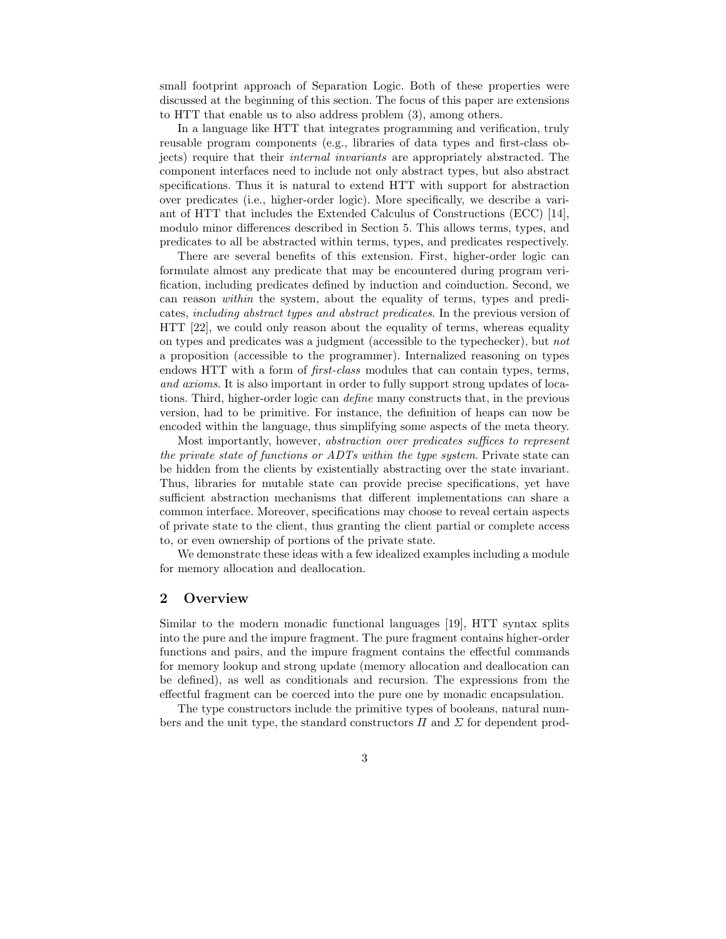small footprint approach of Separation Logic. Both of these properties were discussed at the beginning of this section. The focus of this paper are extensions to HTT that enable us to also address problem (3), among others.

In a language like HTT that integrates programming and verification, truly reusable program components (e.g., libraries of data types and first-class objects) require that their internal invariants are appropriately abstracted. The component interfaces need to include not only abstract types, but also abstract specifications. Thus it is natural to extend HTT with support for abstraction over predicates (i.e., higher-order logic). More specifically, we describe a variant of HTT that includes the Extended Calculus of Constructions (ECC) [14], modulo minor differences described in Section 5. This allows terms, types, and predicates to all be abstracted within terms, types, and predicates respectively.

There are several benefits of this extension. First, higher-order logic can formulate almost any predicate that may be encountered during program verification, including predicates defined by induction and coinduction. Second, we can reason within the system, about the equality of terms, types and predicates, including abstract types and abstract predicates. In the previous version of HTT [22], we could only reason about the equality of terms, whereas equality on types and predicates was a judgment (accessible to the typechecker), but not a proposition (accessible to the programmer). Internalized reasoning on types endows HTT with a form of first-class modules that can contain types, terms, and axioms. It is also important in order to fully support strong updates of locations. Third, higher-order logic can define many constructs that, in the previous version, had to be primitive. For instance, the definition of heaps can now be encoded within the language, thus simplifying some aspects of the meta theory.

Most importantly, however, abstraction over predicates suffices to represent the private state of functions or ADTs within the type system. Private state can be hidden from the clients by existentially abstracting over the state invariant. Thus, libraries for mutable state can provide precise specifications, yet have sufficient abstraction mechanisms that different implementations can share a common interface. Moreover, specifications may choose to reveal certain aspects of private state to the client, thus granting the client partial or complete access to, or even ownership of portions of the private state.

We demonstrate these ideas with a few idealized examples including a module for memory allocation and deallocation.

# 2 Overview

Similar to the modern monadic functional languages [19], HTT syntax splits into the pure and the impure fragment. The pure fragment contains higher-order functions and pairs, and the impure fragment contains the effectful commands for memory lookup and strong update (memory allocation and deallocation can be defined), as well as conditionals and recursion. The expressions from the effectful fragment can be coerced into the pure one by monadic encapsulation.

The type constructors include the primitive types of booleans, natural numbers and the unit type, the standard constructors  $\Pi$  and  $\Sigma$  for dependent prod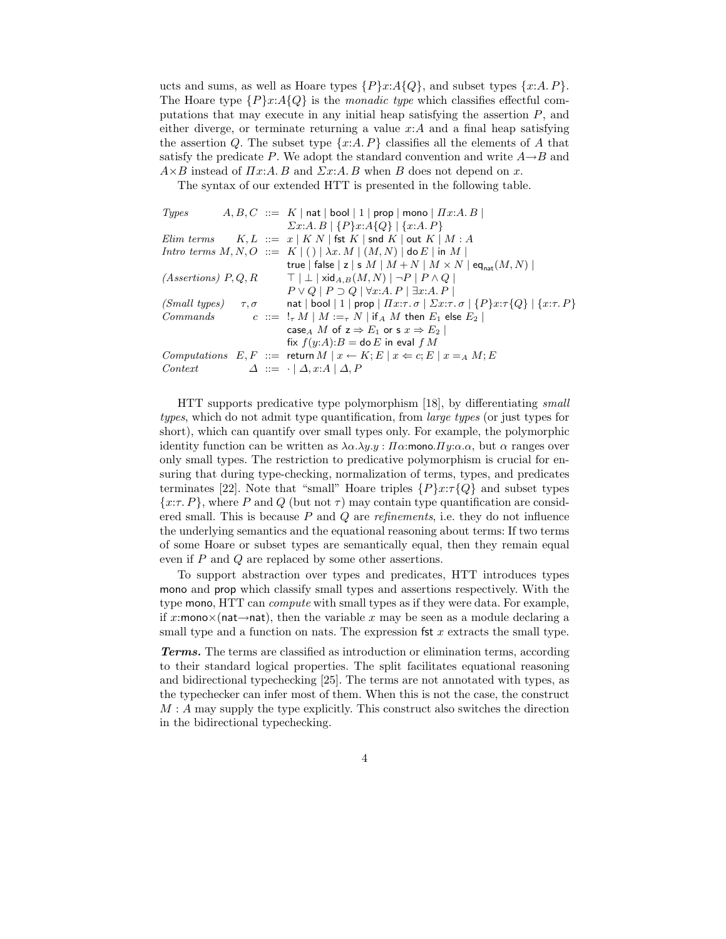ucts and sums, as well as Hoare types  $\{P\}x:A\{Q\}$ , and subset types  $\{x:A, P\}$ . The Hoare type  $\{P\}x:A\{Q\}$  is the monadic type which classifies effectful computations that may execute in any initial heap satisfying the assertion  $P$ , and either diverge, or terminate returning a value  $x:A$  and a final heap satisfying the assertion Q. The subset type  $\{x:A, P\}$  classifies all the elements of A that satisfy the predicate P. We adopt the standard convention and write  $A \rightarrow B$  and  $A\times B$  instead of  $Hx:A.B$  and  $\Sigma x:A.B$  when B does not depend on x.

The syntax of our extended HTT is presented in the following table.

| $A, B, C \ ::= K \mid \mathsf{nat} \mid \mathsf{bool} \mid 1 \mid \mathsf{prop} \mid \mathsf{mono} \mid \mathit{Hx}:A \mathit{.}\ B \mid$ |
|-------------------------------------------------------------------------------------------------------------------------------------------|
| $\sum x:A.B \mid \{P\}x:A\{Q\} \mid \{x:A.P\}$                                                                                            |
| Elim terms $K, L ::= x   K N   \text{fst } K   \text{snd } K   \text{out } K   M : A$                                                     |
| <i>Intro terms</i> $M, N, O \ ::= K \mid ( ) \mid \lambda x. M \mid (M, N) \mid \text{do } E \mid \text{in } M \mid$                      |
| true   false   z   s $M$   $M + N$   $M \times N$   eq <sub>nat</sub> $(M, N)$                                                            |
| $(Assertions) P,Q,R$ $\top \perp \mid \text{xid}_{A,B}(M,N) \mid \neg P \mid P \wedge Q \mid$                                             |
| $P \vee Q \mid P \supset Q \mid \forall x:A.P \mid \exists x:A.P \mid$                                                                    |
| nat   bool   1   prop   $\varPi x{:}\tau.\,\sigma$   $\Sigma x{:}\tau.\,\sigma$   $\{P\}x{:}\tau\{Q\}$   $\{x{:}\tau.P\}$                 |
| <i>Commands</i> $c ::= \vert_{\tau} M \vert M :=_{\tau} N \vert$ if $_A M$ then $E_1$ else $E_2 \vert$                                    |
| case <sub>A</sub> M of $z \Rightarrow E_1$ or s $x \Rightarrow E_2$                                                                       |
| fix $f(y:A):B =$ do E in eval $f M$                                                                                                       |
| Computations $E, F ::=$ return $M   x \leftarrow K; E   x \Leftarrow c; E   x =_A M; E$                                                   |
| $\Delta := \cdot   \Delta, x:A   \Delta, P$                                                                                               |
|                                                                                                                                           |

HTT supports predicative type polymorphism [18], by differentiating small types, which do not admit type quantification, from large types (or just types for short), which can quantify over small types only. For example, the polymorphic identity function can be written as  $\lambda \alpha \cdot \lambda y \cdot y \cdot \Pi \alpha$ : mono.  $\Pi y \cdot \alpha \cdot \alpha$ , but  $\alpha$  ranges over only small types. The restriction to predicative polymorphism is crucial for ensuring that during type-checking, normalization of terms, types, and predicates terminates [22]. Note that "small" Hoare triples  $\{P\}x:\tau\{Q\}$  and subset types  ${x:\tau, P}$ , where P and Q (but not  $\tau$ ) may contain type quantification are considered small. This is because  $P$  and  $Q$  are *refinements*, i.e. they do not influence the underlying semantics and the equational reasoning about terms: If two terms of some Hoare or subset types are semantically equal, then they remain equal even if P and Q are replaced by some other assertions.

To support abstraction over types and predicates, HTT introduces types mono and prop which classify small types and assertions respectively. With the type mono, HTT can *compute* with small types as if they were data. For example, if x:mono×(nat→nat), then the variable x may be seen as a module declaring a small type and a function on nats. The expression fst  $x$  extracts the small type.

Terms. The terms are classified as introduction or elimination terms, according to their standard logical properties. The split facilitates equational reasoning and bidirectional typechecking [25]. The terms are not annotated with types, as the typechecker can infer most of them. When this is not the case, the construct  $M: A$  may supply the type explicitly. This construct also switches the direction in the bidirectional typechecking.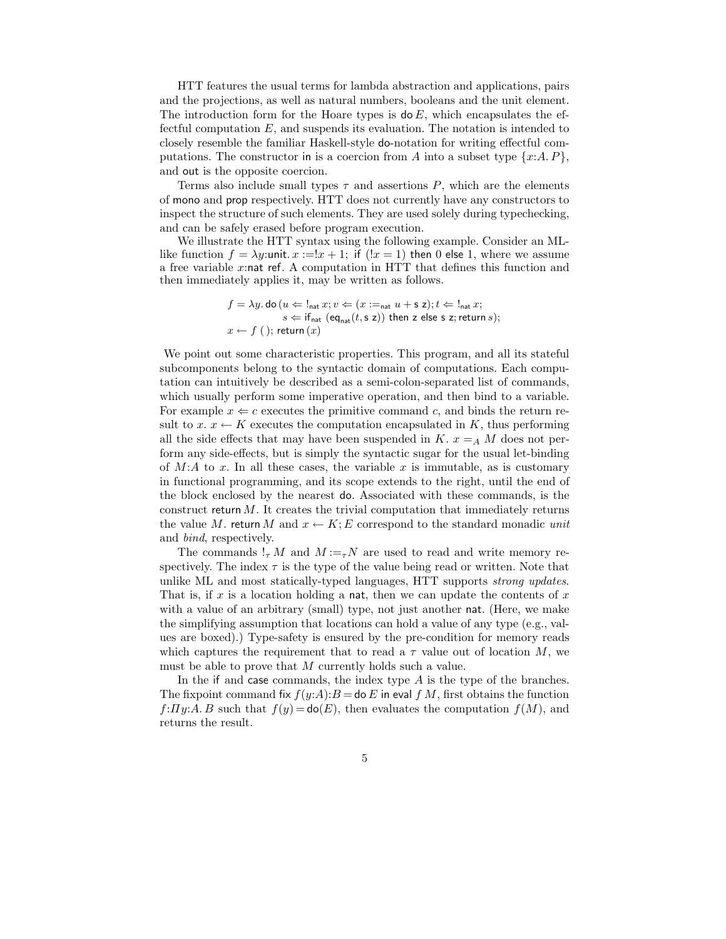HTT features the usual terms for lambda abstraction and applications, pairs and the projections, as well as natural numbers, booleans and the unit element. The introduction form for the Hoare types is  $\mathbf{do} E$ , which encapsulates the effectful computation E, and suspends its evaluation. The notation is intended to closely resemble the familiar Haskell-style do-notation for writing effectful computations. The constructor in is a coercion from A into a subset type  $\{x:A, P\}$ , and out is the opposite coercion.

Terms also include small types  $\tau$  and assertions P, which are the elements of mono and prop respectively. HTT does not currently have any constructors to inspect the structure of such elements. They are used solely during typechecking, and can be safely erased before program execution.

We illustrate the HTT syntax using the following example. Consider an MLlike function  $f = \lambda y$ :unit.  $x := x + 1$ ; if  $(x = 1)$  then 0 else 1, where we assume a free variable x:nat ref. A computation in HTT that defines this function and then immediately applies it, may be written as follows.

$$
f = \lambda y. \text{ do } (u \Leftarrow !_{\text{nat}} x; v \Leftarrow (x :=_{\text{nat}} u + s z); t \Leftarrow !_{\text{nat}} x; s \Leftarrow \text{if}_{\text{nat}} (\text{eq}_{\text{nat}} (t, s z)) \text{ then } z \text{ else } s z; \text{return } s);
$$
  
 $x \leftarrow f()$ ; return  $(x)$ 

We point out some characteristic properties. This program, and all its stateful subcomponents belong to the syntactic domain of computations. Each computation can intuitively be described as a semi-colon-separated list of commands, which usually perform some imperative operation, and then bind to a variable. For example  $x \leftarrow c$  executes the primitive command c, and binds the return result to  $x, x \leftarrow K$  executes the computation encapsulated in K, thus performing all the side effects that may have been suspended in K.  $x =_A M$  does not perform any side-effects, but is simply the syntactic sugar for the usual let-binding of  $M:A$  to x. In all these cases, the variable x is immutable, as is customary in functional programming, and its scope extends to the right, until the end of the block enclosed by the nearest do. Associated with these commands, is the construct return  $M$ . It creates the trivial computation that immediately returns the value M. return M and  $x \leftarrow K$ ; E correspond to the standard monadic unit and bind, respectively.

The commands  $!_{\tau} M$  and  $M :=_{\tau} N$  are used to read and write memory respectively. The index  $\tau$  is the type of the value being read or written. Note that unlike ML and most statically-typed languages, HTT supports strong updates. That is, if x is a location holding a nat, then we can update the contents of x with a value of an arbitrary (small) type, not just another nat. (Here, we make the simplifying assumption that locations can hold a value of any type (e.g., values are boxed).) Type-safety is ensured by the pre-condition for memory reads which captures the requirement that to read a  $\tau$  value out of location M, we must be able to prove that M currently holds such a value.

In the if and case commands, the index type  $A$  is the type of the branches. The fixpoint command fix  $f(y:A):B =$ do E in eval  $f M$ , first obtains the function  $f: \Pi y: A, B$  such that  $f(y) = do(E)$ , then evaluates the computation  $f(M)$ , and returns the result.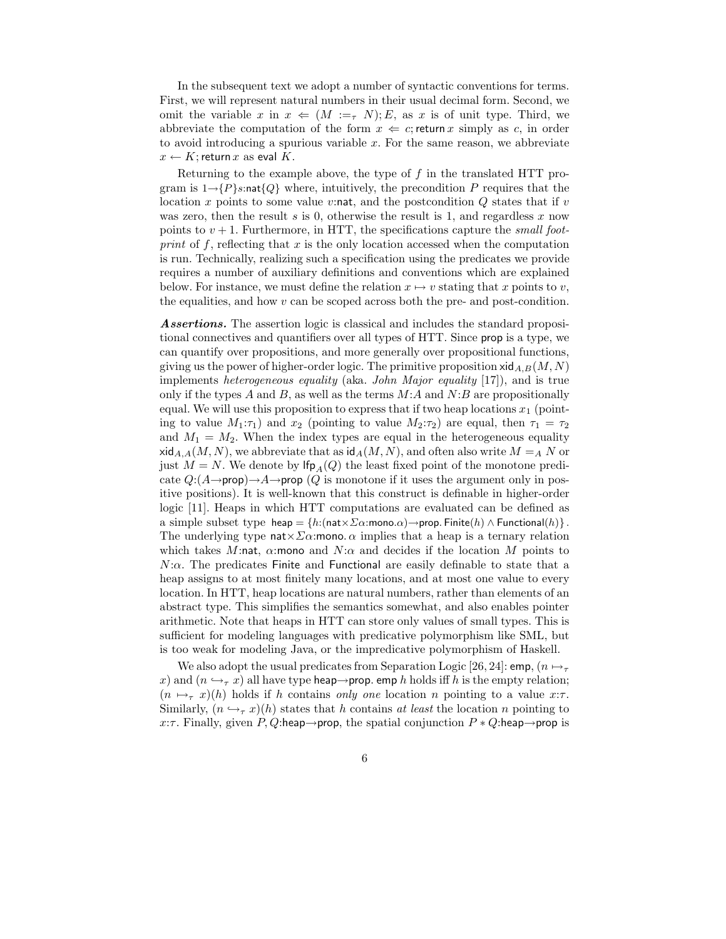In the subsequent text we adopt a number of syntactic conventions for terms. First, we will represent natural numbers in their usual decimal form. Second, we omit the variable x in  $x \Leftarrow (M :=_\tau N); E$ , as x is of unit type. Third, we abbreviate the computation of the form  $x \leftarrow c$ ; return x simply as c, in order to avoid introducing a spurious variable  $x$ . For the same reason, we abbreviate  $x \leftarrow K$ ; return x as eval K.

Returning to the example above, the type of f in the translated HTT program is  $1 \rightarrow {P}s$ :nat ${Q}$  where, intuitively, the precondition P requires that the location x points to some value v:nat, and the postcondition  $Q$  states that if v was zero, then the result s is 0, otherwise the result is 1, and regardless x now points to  $v + 1$ . Furthermore, in HTT, the specifications capture the *small foot*print of f, reflecting that  $x$  is the only location accessed when the computation is run. Technically, realizing such a specification using the predicates we provide requires a number of auxiliary definitions and conventions which are explained below. For instance, we must define the relation  $x \mapsto v$  stating that x points to v, the equalities, and how v can be scoped across both the pre- and post-condition.

Assertions. The assertion logic is classical and includes the standard propositional connectives and quantifiers over all types of HTT. Since prop is a type, we can quantify over propositions, and more generally over propositional functions, giving us the power of higher-order logic. The primitive proposition  $\text{xi}_{A,B}(M, N)$ implements *heterogeneous equality* (aka. *John Major equality* [17]), and is true only if the types  $A$  and  $B$ , as well as the terms  $M:A$  and  $N:B$  are propositionally equal. We will use this proposition to express that if two heap locations  $x_1$  (pointing to value  $M_1:\tau_1$  and  $x_2$  (pointing to value  $M_2:\tau_2$ ) are equal, then  $\tau_1 = \tau_2$ and  $M_1 = M_2$ . When the index types are equal in the heterogeneous equality  $xid_{A,A}(M, N)$ , we abbreviate that as  $id_A(M, N)$ , and often also write  $M =_A N$  or just  $M = N$ . We denote by  $\mathsf{lip}_A(Q)$  the least fixed point of the monotone predicate  $Q:(A\rightarrow \text{prop})\rightarrow A\rightarrow \text{prop}$  (*Q* is monotone if it uses the argument only in positive positions). It is well-known that this construct is definable in higher-order logic [11]. Heaps in which HTT computations are evaluated can be defined as a simple subset type heap =  $\{h: (\texttt{nat} \times \Sigma \alpha : \texttt{mono} \cdot \alpha) \rightarrow \texttt{prop} \cdot \texttt{Finite}(h) \wedge \texttt{Functional}(h)\}.$ The underlying type nat $\times \Sigma \alpha$ :mono.  $\alpha$  implies that a heap is a ternary relation which takes M:nat,  $\alpha$ :mono and  $N:\alpha$  and decides if the location M points to  $N:\alpha$ . The predicates Finite and Functional are easily definable to state that a heap assigns to at most finitely many locations, and at most one value to every location. In HTT, heap locations are natural numbers, rather than elements of an abstract type. This simplifies the semantics somewhat, and also enables pointer arithmetic. Note that heaps in HTT can store only values of small types. This is sufficient for modeling languages with predicative polymorphism like SML, but is too weak for modeling Java, or the impredicative polymorphism of Haskell.

We also adopt the usual predicates from Separation Logic [26, 24]: emp,  $(n \mapsto_{\tau}$ x) and  $(n \hookrightarrow_{\tau} x)$  all have type heap→prop. emp h holds iff h is the empty relation;  $(n \mapsto \tau x)(h)$  holds if h contains only one location n pointing to a value  $x:\tau$ . Similarly,  $(n \rightarrow_\tau x)(h)$  states that h contains at least the location n pointing to x: $\tau$ . Finally, given P, Q:heap→prop, the spatial conjunction  $P * Q$ :heap→prop is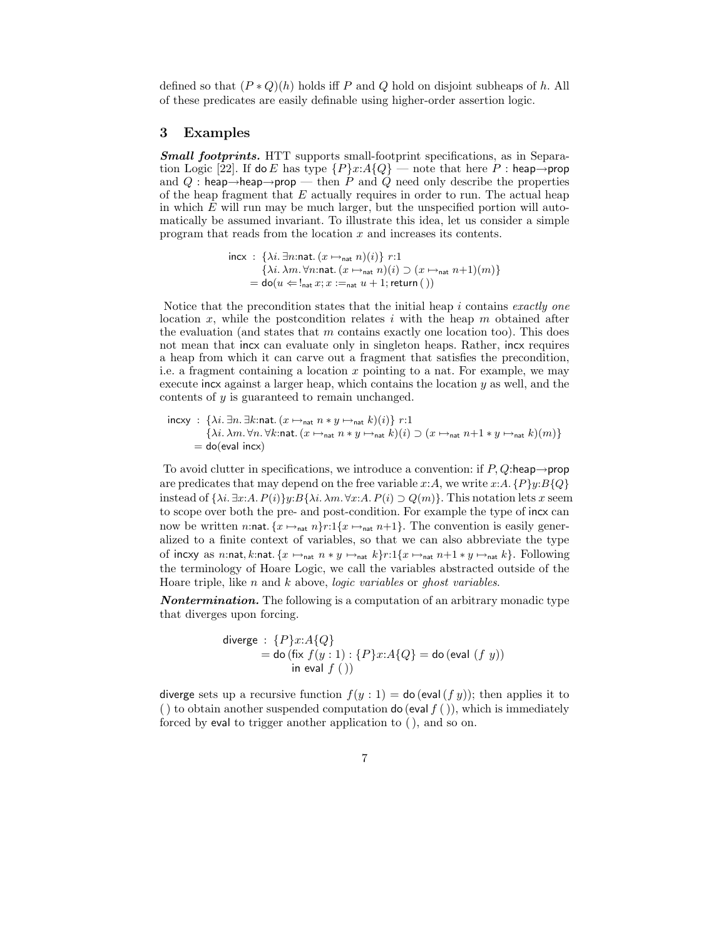defined so that  $(P \ast Q)(h)$  holds iff P and Q hold on disjoint subheaps of h. All of these predicates are easily definable using higher-order assertion logic.

#### 3 Examples

Small footprints. HTT supports small-footprint specifications, as in Separation Logic [22]. If do E has type  $\{P\}x:A\{Q\}$  — note that here P : heap→prop and Q : heap→heap→prop — then P and Q need only describe the properties of the heap fragment that  $E$  actually requires in order to run. The actual heap in which  $E$  will run may be much larger, but the unspecified portion will automatically be assumed invariant. To illustrate this idea, let us consider a simple program that reads from the location x and increases its contents.

> incx :  $\{\lambda i. \exists n: \text{nat.} (x \mapsto_{\text{nat}} n)(i)\}\$ r:1  $\{\lambda i. \lambda m. \forall n:$ nat.  $(x \mapsto_{\text{nat}} n)(i) \supset (x \mapsto_{\text{nat}} n+1)(m)\}$  $=$  do( $u \Leftarrow$ !<sub>nat</sub>  $x; x :=_{\text{nat}} u + 1;$  return ())

Notice that the precondition states that the initial heap  $i$  contains exactly one location x, while the postcondition relates i with the heap  $m$  obtained after the evaluation (and states that  $m$  contains exactly one location too). This does not mean that incx can evaluate only in singleton heaps. Rather, incx requires a heap from which it can carve out a fragment that satisfies the precondition, i.e. a fragment containing a location  $x$  pointing to a nat. For example, we may execute incx against a larger heap, which contains the location y as well, and the contents of y is guaranteed to remain unchanged.

$$
\begin{array}{l}\n\text{incxy} : \{ \lambda i. \exists n. \exists k: \text{nat.} \ (x \mapsto_{\text{nat}} n * y \mapsto_{\text{nat}} k)(i) \} \ r : 1 \\
\{ \lambda i. \lambda m. \forall n. \forall k: \text{nat.} \ (x \mapsto_{\text{nat}} n * y \mapsto_{\text{nat}} k)(i) \supset (x \mapsto_{\text{nat}} n + 1 * y \mapsto_{\text{nat}} k)(m) \} \\
= \text{do}\n\text{(eval incx)}\n\end{array}
$$

To avoid clutter in specifications, we introduce a convention: if  $P, Q$ :heap $\rightarrow$ prop are predicates that may depend on the free variable x:A, we write x:A.  $\{P\}y:B\{Q\}$ instead of  $\{\lambda i. \exists x:A.\, P(i)\}y:B\{\lambda i.\, \lambda m.\, \forall x:A.\, P(i) \supset Q(m)\}\.$  This notation lets x seem to scope over both the pre- and post-condition. For example the type of incx can now be written n:nat.  $\{x \mapsto_{\text{nat}} n\}$ r:1 $\{x \mapsto_{\text{nat}} n+1\}$ . The convention is easily generalized to a finite context of variables, so that we can also abbreviate the type of incxy as n:nat, k:nat.  $\{x \mapsto_{\text{nat}} n * y \mapsto_{\text{nat}} k\}$ r:1 $\{x \mapsto_{\text{nat}} n+1 * y \mapsto_{\text{nat}} k\}$ . Following the terminology of Hoare Logic, we call the variables abstracted outside of the Hoare triple, like  $n$  and  $k$  above, *logic variables* or *ghost variables*.

**Nontermination.** The following is a computation of an arbitrary monadic type that diverges upon forcing.

$$
diverge: {P}x:A{Q}
$$
  
= do (fix  $f(y:1): {P}x:A{Q} = do (eval (f y))$   
in eval  $f()$ )

diverge sets up a recursive function  $f(y: 1) =$  do (eval  $(f y)$ ); then applies it to () to obtain another suspended computation  $\phi$  (eval  $f($ )), which is immediately forced by eval to trigger another application to (), and so on.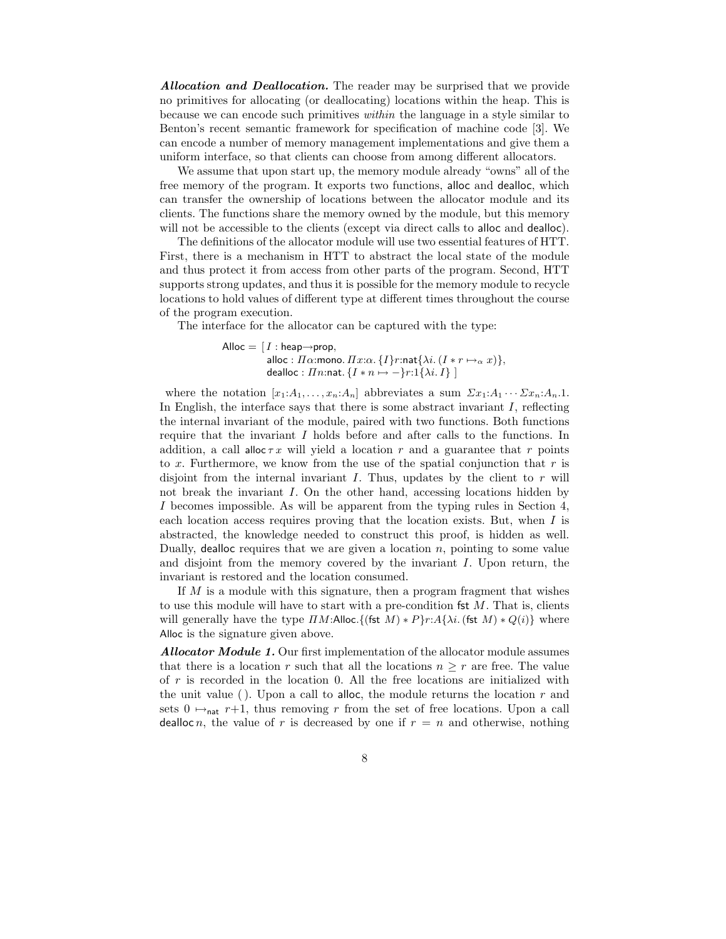Allocation and Deallocation. The reader may be surprised that we provide no primitives for allocating (or deallocating) locations within the heap. This is because we can encode such primitives within the language in a style similar to Benton's recent semantic framework for specification of machine code [3]. We can encode a number of memory management implementations and give them a uniform interface, so that clients can choose from among different allocators.

We assume that upon start up, the memory module already "owns" all of the free memory of the program. It exports two functions, alloc and dealloc, which can transfer the ownership of locations between the allocator module and its clients. The functions share the memory owned by the module, but this memory will not be accessible to the clients (except via direct calls to alloc and dealloc).

The definitions of the allocator module will use two essential features of HTT. First, there is a mechanism in HTT to abstract the local state of the module and thus protect it from access from other parts of the program. Second, HTT supports strong updates, and thus it is possible for the memory module to recycle locations to hold values of different type at different times throughout the course of the program execution.

The interface for the allocator can be captured with the type:

$$
\begin{aligned} \text{Alloc} &= \big[I: \mathsf{heap} \rightarrow \mathsf{prop}, \\ \text{alloc}: \varPi \alpha: \mathsf{mono}. \varPi x: \alpha. \{I\} r: \mathsf{nat}\{\lambda i. \left(I*r \mapsto_{\alpha} x\right)\}, \\ \text{dealloc}: \varPi n: \mathsf{nat}. \{I*n \mapsto \neg\} r: \mathbf{1}\{\lambda i. \varPi\} \big] \end{aligned}
$$

where the notation  $[x_1:A_1,\ldots,x_n:A_n]$  abbreviates a sum  $\sum x_1:A_1\cdots\sum x_n:A_n.1$ . In English, the interface says that there is some abstract invariant  $I$ , reflecting the internal invariant of the module, paired with two functions. Both functions require that the invariant I holds before and after calls to the functions. In addition, a call alloc  $\tau x$  will yield a location r and a guarantee that r points to x. Furthermore, we know from the use of the spatial conjunction that  $r$  is disjoint from the internal invariant I. Thus, updates by the client to  $r$  will not break the invariant  $I$ . On the other hand, accessing locations hidden by I becomes impossible. As will be apparent from the typing rules in Section 4, each location access requires proving that the location exists. But, when I is abstracted, the knowledge needed to construct this proof, is hidden as well. Dually, dealloc requires that we are given a location  $n$ , pointing to some value and disjoint from the memory covered by the invariant  $I$ . Upon return, the invariant is restored and the location consumed.

If M is a module with this signature, then a program fragment that wishes to use this module will have to start with a pre-condition  $fst M$ . That is, clients will generally have the type  $\overline{HM}$ :Alloc.{(fst M) \* P}r:A{ $\lambda i$ .(fst M) \* Q(i)} where Alloc is the signature given above.

Allocator Module 1. Our first implementation of the allocator module assumes that there is a location r such that all the locations  $n \geq r$  are free. The value of r is recorded in the location 0. All the free locations are initialized with the unit value (). Upon a call to alloc, the module returns the location  $r$  and sets  $0 \mapsto_{\text{nat}} r+1$ , thus removing r from the set of free locations. Upon a call dealloc *n*, the value of r is decreased by one if  $r = n$  and otherwise, nothing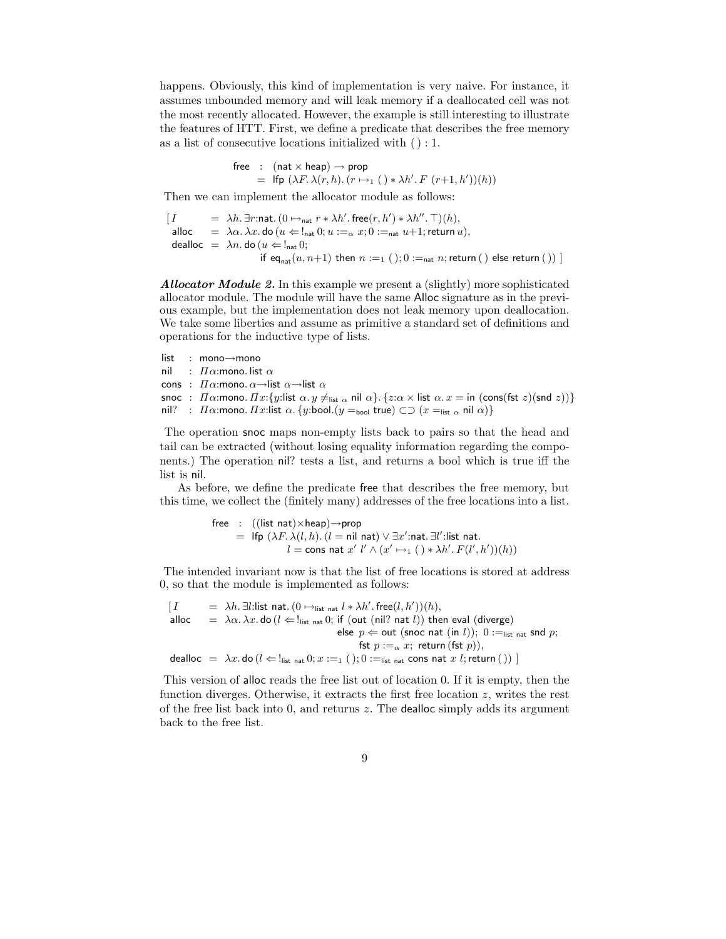happens. Obviously, this kind of implementation is very naive. For instance, it assumes unbounded memory and will leak memory if a deallocated cell was not the most recently allocated. However, the example is still interesting to illustrate the features of HTT. First, we define a predicate that describes the free memory as a list of consecutive locations initialized with () : 1.

> free :  $(nat \times heap) \rightarrow prop$ =  $\text{lfp } (\lambda F. \lambda (r, h) . (r \mapsto_1 (\ ) * \lambda h' . F (r+1, h'))(h))$

Then we can implement the allocator module as follows:

 $[I = \lambda h. \exists r : \text{nat.} (0 \mapsto_{\text{nat}} r * \lambda h'. \text{free}(r, h') * \lambda h''. \top)(h),$ alloc =  $\lambda \alpha$ .  $\lambda x$ . do  $(u \Leftarrow !_{\text{nat}} 0; u :=_{\alpha} x; 0 :=_{\text{nat}} u + 1;$  return  $u$ ), dealloc =  $\lambda n$ . do ( $u \Leftarrow$ !<sub>nat</sub> 0; if  $eq_{nat}(u, n+1)$  then  $n :=_1 ( )$ ;  $0 :=_{nat} n$ ; return ( ) else return ( )) ]

Allocator Module 2. In this example we present a (slightly) more sophisticated allocator module. The module will have the same Alloc signature as in the previous example, but the implementation does not leak memory upon deallocation. We take some liberties and assume as primitive a standard set of definitions and operations for the inductive type of lists.

list : mono→mono nil :  $\Pi\alpha$ : mono. list  $\alpha$ cons :  $\Pi \alpha$ : mono.  $\alpha \rightarrow$ list  $\alpha \rightarrow$ list  $\alpha$ snoc :  $\Pi\alpha$ :mono.  $\Pi x$ : {y:list  $\alpha$ .  $y \neq_{\text{list }\alpha}$  nil  $\alpha$ }. { $z:\alpha \times \text{list }\alpha$ .  $x = \text{in }(\text{cons}(\text{fst }z)(\text{snd }z))$ } nil? :  $\Pi\alpha$ :mono.  $\Pi x$ :list  $\alpha$ . {y:bool.(y =bool true)  $\subset \supset (x =_{\text{list}} \alpha \text{ nil }\alpha)$ }

The operation snoc maps non-empty lists back to pairs so that the head and tail can be extracted (without losing equality information regarding the components.) The operation nil? tests a list, and returns a bool which is true iff the list is nil.

As before, we define the predicate free that describes the free memory, but this time, we collect the (finitely many) addresses of the free locations into a list.

> free : ((list nat)×heap)→prop  $=$  lfp  $(\lambda F. \lambda(l, h).$   $(l = \mathsf{nil} \ \mathsf{nat}) \lor \exists x' : \mathsf{nat} \ldots \exists l' : \mathsf{list} \ \mathsf{nat}.$  $l = \text{cons nat } x' \ l' \wedge (x' \mapsto_1 (\ ) * \lambda h' \ldotp F(l',h'))(h))$

The intended invariant now is that the list of free locations is stored at address 0, so that the module is implemented as follows:

 $[I = \lambda h. \exists l:$ list nat.  $(0 \mapsto_{\text{list nat}} l * \lambda h'. \text{free}(l, h'))(h),$ alloc =  $\lambda \alpha$ .  $\lambda x$ . do ( $l \Leftarrow$ !<sub>list nat</sub> 0; if (out (nil? nat l)) then eval (diverge) else  $p \Leftarrow$  out (snoc nat (in l));  $0 :=_{\text{list nat}}$  snd p; fst  $p := \alpha x$ ; return (fst p)), dealloc =  $\lambda x$ . do  $(l \Leftarrow$   $l_{\text{list nat}} 0; x :=_1 ()$ ;  $0 :=_{\text{list nat}}$  cons nat  $x$   $l$ ; return  $()$  ]

This version of alloc reads the free list out of location 0. If it is empty, then the function diverges. Otherwise, it extracts the first free location z, writes the rest of the free list back into  $0$ , and returns  $z$ . The dealloc simply adds its argument back to the free list.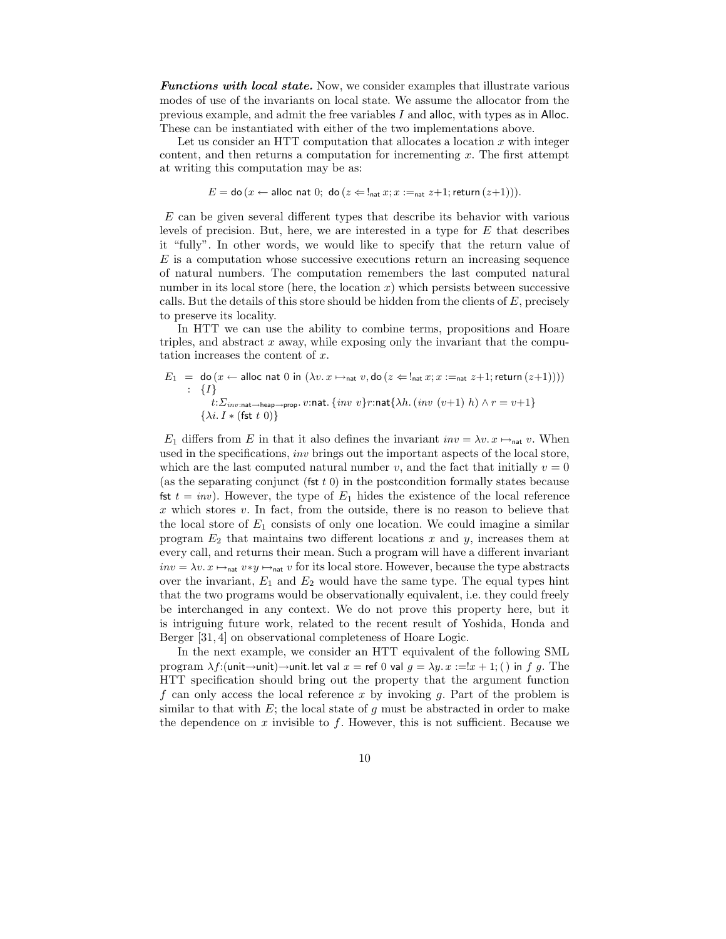**Functions with local state.** Now, we consider examples that illustrate various modes of use of the invariants on local state. We assume the allocator from the previous example, and admit the free variables I and alloc, with types as in Alloc. These can be instantiated with either of the two implementations above.

Let us consider an HTT computation that allocates a location  $x$  with integer content, and then returns a computation for incrementing  $x$ . The first attempt at writing this computation may be as:

$$
E = \text{do} \left( x \leftarrow \text{alloc nat 0}; \text{ do} \left( z \leftarrow !_{\text{nat}} x; x :=_{\text{nat}} z + 1; \text{return} \left( z + 1 \right) \right) \right).
$$

 $E$  can be given several different types that describe its behavior with various levels of precision. But, here, we are interested in a type for E that describes it "fully". In other words, we would like to specify that the return value of E is a computation whose successive executions return an increasing sequence of natural numbers. The computation remembers the last computed natural number in its local store (here, the location x) which persists between successive calls. But the details of this store should be hidden from the clients of  $E$ , precisely to preserve its locality.

In HTT we can use the ability to combine terms, propositions and Hoare triples, and abstract  $x$  away, while exposing only the invariant that the computation increases the content of x.

$$
E_1 = \text{do}(x \leftarrow \text{alloc nat 0 in } (\lambda v. x \mapsto_{\text{nat}} v, \text{do}(z \leftarrow !_{\text{nat}} x; x :=_{\text{nat}} z + 1; \text{return } (z+1))))
$$
  
: {*I*}  

$$
t: \Sigma_{inv:\text{nat} \rightarrow \text{heap} \rightarrow \text{prop}} \cdot v:\text{nat.} \{inv \ v\}r:\text{nat} \{\lambda h. (inv \ (v+1) \ h) \wedge r = v+1 \}
$$
  

$$
\{\lambda i. I * (\text{fst } t \ 0)\}
$$

 $E_1$  differs from E in that it also defines the invariant  $inv = \lambda v$ .  $x \mapsto_{\text{nat}} v$ . When used in the specifications, inv brings out the important aspects of the local store, which are the last computed natural number v, and the fact that initially  $v = 0$ (as the separating conjunct (fst  $t\ 0$ ) in the postcondition formally states because fst  $t = inv$ ). However, the type of  $E_1$  hides the existence of the local reference  $x$  which stores  $v$ . In fact, from the outside, there is no reason to believe that the local store of  $E_1$  consists of only one location. We could imagine a similar program  $E_2$  that maintains two different locations x and y, increases them at every call, and returns their mean. Such a program will have a different invariant  $inv = \lambda v$ .  $x \mapsto_{\text{nat}} v * y \mapsto_{\text{nat}} v$  for its local store. However, because the type abstracts over the invariant,  $E_1$  and  $E_2$  would have the same type. The equal types hint that the two programs would be observationally equivalent, i.e. they could freely be interchanged in any context. We do not prove this property here, but it is intriguing future work, related to the recent result of Yoshida, Honda and Berger [31, 4] on observational completeness of Hoare Logic.

In the next example, we consider an HTT equivalent of the following SML program  $\lambda f$ :(unit→unit)→unit. let val  $x =$  ref 0 val  $g = \lambda y$ .  $x := |x + 1;$  () in f g. The HTT specification should bring out the property that the argument function f can only access the local reference x by invoking  $q$ . Part of the problem is similar to that with  $E$ ; the local state of g must be abstracted in order to make the dependence on  $x$  invisible to  $f$ . However, this is not sufficient. Because we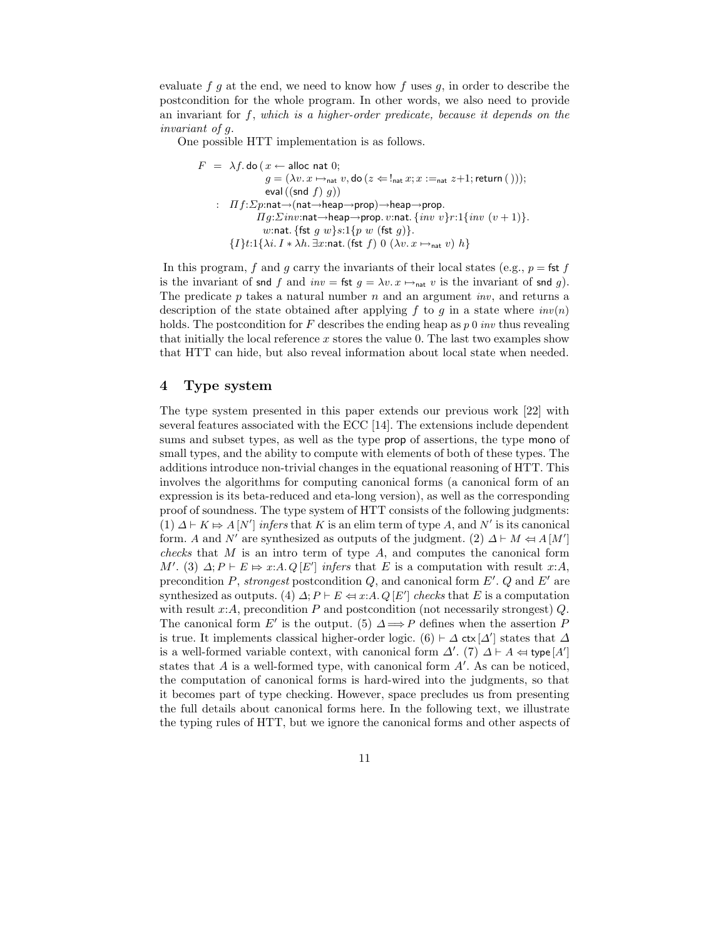evaluate  $f \, g$  at the end, we need to know how f uses g, in order to describe the postcondition for the whole program. In other words, we also need to provide an invariant for  $f$ , which is a higher-order predicate, because it depends on the invariant of g.

One possible HTT implementation is as follows.

$$
F = \lambda f \cdot \text{do} (x \leftarrow \text{alloc nat 0};
$$
\n
$$
g = (\lambda v \cdot x \mapsto_{\text{nat}} v, \text{do} (z \leftarrow !_{\text{nat}} x; x :=_{\text{nat}} z + 1; \text{return }());
$$
\n
$$
\text{eval}((\text{snd } f) g))
$$
\n
$$
\therefore \quad \text{If } f: \Sigma p: \text{nat} \rightarrow (\text{nat} \rightarrow \text{heap} \rightarrow \text{prop}) \rightarrow \text{heap} \rightarrow \text{prop}.
$$
\n
$$
\text{If } g: \Sigma inv: \text{nat} \rightarrow \text{heap} \rightarrow \text{prop}. v: \text{nat.} \{inv \ v \} \text{r}: 1 \{inv \ (v+1) \}.
$$
\n
$$
\text{w:nat.} \{ \text{fst } g \ w \} \text{s}: 1 \{p \ w \ (\text{fst } g) \}.
$$
\n
$$
\{ I \} t: 1 \{ \lambda i. I * \lambda h. \exists x: \text{nat.} (\text{fst } f) \ 0 \ (\lambda v. x \mapsto_{\text{nat}} v) \ h \}
$$

In this program, f and g carry the invariants of their local states (e.g.,  $p = \text{fst } f$ ) is the invariant of snd f and  $inv =$  fst  $g = \lambda v \cdot x \mapsto_{\text{nat}} v$  is the invariant of snd g). The predicate p takes a natural number n and an argument inv, and returns a description of the state obtained after applying f to g in a state where  $inv(n)$ holds. The postcondition for  $F$  describes the ending heap as  $p\,0$  inv thus revealing that initially the local reference  $x$  stores the value 0. The last two examples show that HTT can hide, but also reveal information about local state when needed.

# 4 Type system

The type system presented in this paper extends our previous work [22] with several features associated with the ECC [14]. The extensions include dependent sums and subset types, as well as the type prop of assertions, the type mono of small types, and the ability to compute with elements of both of these types. The additions introduce non-trivial changes in the equational reasoning of HTT. This involves the algorithms for computing canonical forms (a canonical form of an expression is its beta-reduced and eta-long version), as well as the corresponding proof of soundness. The type system of HTT consists of the following judgments: (1)  $\Delta$  ⊢ K  $\Rightarrow$  A [N'] infers that K is an elim term of type A, and N' is its canonical form. A and N' are synthesized as outputs of the judgment. (2)  $\Delta \vdash M \Leftrightarrow A$  [M'] checks that  $M$  is an intro term of type  $A$ , and computes the canonical form M'. (3)  $\Delta; P \vdash E \Rightarrow x:A. Q [E']$  infers that E is a computation with result  $x:A$ , precondition P, strongest postcondition  $Q$ , and canonical form  $E'$ .  $Q$  and  $E'$  are synthesized as outputs. (4)  $\Delta; P \vdash E \Leftrightarrow x:A. Q [E']$  checks that E is a computation with result x:A, precondition P and postcondition (not necessarily strongest)  $Q$ . The canonical form E' is the output. (5)  $\Delta \Longrightarrow P$  defines when the assertion P is true. It implements classical higher-order logic.  $(6) \vdash \Delta$  ctx [ $\Delta'$ ] states that  $\Delta$ is a well-formed variable context, with canonical form  $\Delta'$ . (7)  $\Delta \vdash A \Leftrightarrow$  type [A'] states that  $A$  is a well-formed type, with canonical form  $A'$ . As can be noticed, the computation of canonical forms is hard-wired into the judgments, so that it becomes part of type checking. However, space precludes us from presenting the full details about canonical forms here. In the following text, we illustrate the typing rules of HTT, but we ignore the canonical forms and other aspects of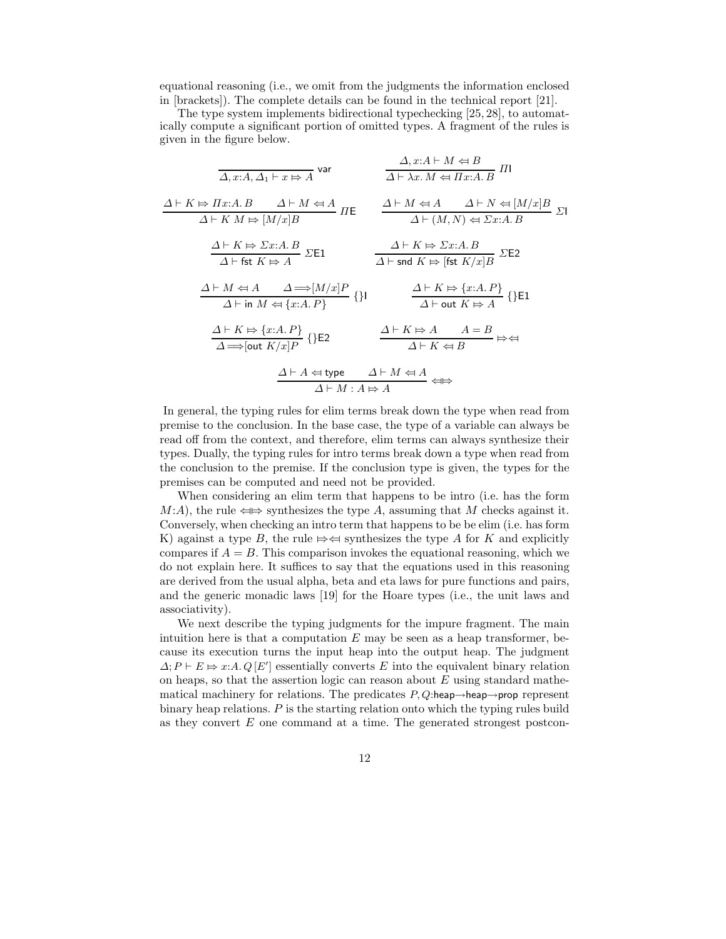equational reasoning (i.e., we omit from the judgments the information enclosed in [brackets]). The complete details can be found in the technical report [21].

The type system implements bidirectional typechecking [25, 28], to automatically compute a significant portion of omitted types. A fragment of the rules is given in the figure below.

| $\overline{\Delta, x:A, \Delta_1 \vdash x \mapsto A}$ var                                                                                                         | $\frac{\Delta, x:A \vdash M \Leftrightarrow B}{\Delta \vdash \lambda x.M \Leftrightarrow \Pi x:A.B} \Pi$                                                       |  |
|-------------------------------------------------------------------------------------------------------------------------------------------------------------------|----------------------------------------------------------------------------------------------------------------------------------------------------------------|--|
| $\Delta \vdash K \Rightarrow \Pi x:A.B$ $\Delta \vdash M \Leftrightarrow A$<br>$\longrightarrow$ $\pi$<br>$\varDelta \vdash K \ \overline{M \Rightarrow [M/x] B}$ | $\frac{\Delta \vdash M \Leftrightarrow A \qquad \Delta \vdash N \Leftrightarrow [M/x]B}{\Delta \vdash (M,N) \Leftrightarrow \Sigma x:A.B} \ \Sigma \mathsf{I}$ |  |
| $\frac{\Delta \vdash K \Leftrightarrow \Sigma x:A.B}{\Delta \vdash \mathsf{fst} \; K \Leftrightarrow A} \; \Sigma \mathsf{E}1$                                    | $\frac{\Delta \vdash K \Leftrightarrow \Sigma x:A.B}{\Delta \vdash \mathsf{snd } K \Leftrightarrow [\mathsf{fst } \; K/x]B} \; \Sigma \mathsf{E2}$             |  |
| $\frac{\Delta \vdash M \Leftrightarrow A \qquad \Delta \Longrightarrow [M/x]P}{\Delta \vdash \text{in } M \Leftrightarrow \{x:A.\,P\}}\ \{\}$                     | $\frac{\Delta \vdash K \Rightarrow \{x:A.P\}}{\Delta \vdash \text{out } K \Leftrightarrow A} \{\} \text{E1}$                                                   |  |
| $\frac{\Delta \vdash K \Rightarrow \{x:A.\,P\}}{\Delta \Longrightarrow \text{[out } K/x\text{]}P} \ \{\} \mathsf{E2}$                                             | $\frac{\varDelta\vdash K \mathbin{\Rightarrow} A \qquad A = B}{\varDelta\vdash K \mathbin{\Leftrightarrow} B} \mathbin{\Rightarrow} \mathbin{\Leftrightarrow}$ |  |
| $\cfrac{\varDelta\vdash A\Leftrightarrow \text{type}\qquad \varDelta\vdash M\Leftrightarrow A}{\varDelta\vdash M:A\Rightarrow A}$<br>⇔                            |                                                                                                                                                                |  |

In general, the typing rules for elim terms break down the type when read from premise to the conclusion. In the base case, the type of a variable can always be read off from the context, and therefore, elim terms can always synthesize their types. Dually, the typing rules for intro terms break down a type when read from the conclusion to the premise. If the conclusion type is given, the types for the premises can be computed and need not be provided.

When considering an elim term that happens to be intro (i.e. has the form M:A), the rule  $\iff$  synthesizes the type A, assuming that M checks against it. Conversely, when checking an intro term that happens to be be elim (i.e. has form K) against a type B, the rule  $\Rightarrow \Leftrightarrow$  synthesizes the type A for K and explicitly compares if  $A = B$ . This comparison invokes the equational reasoning, which we do not explain here. It suffices to say that the equations used in this reasoning are derived from the usual alpha, beta and eta laws for pure functions and pairs, and the generic monadic laws [19] for the Hoare types (i.e., the unit laws and associativity).

We next describe the typing judgments for the impure fragment. The main intuition here is that a computation  $E$  may be seen as a heap transformer, because its execution turns the input heap into the output heap. The judgment  $\Delta; P \vdash E \Rightarrow x:A. Q [E']$  essentially converts E into the equivalent binary relation on heaps, so that the assertion logic can reason about  $E$  using standard mathematical machinery for relations. The predicates  $P, Q$ :heap $\rightarrow$ heap $\rightarrow$ prop represent binary heap relations. P is the starting relation onto which the typing rules build as they convert  $E$  one command at a time. The generated strongest postcon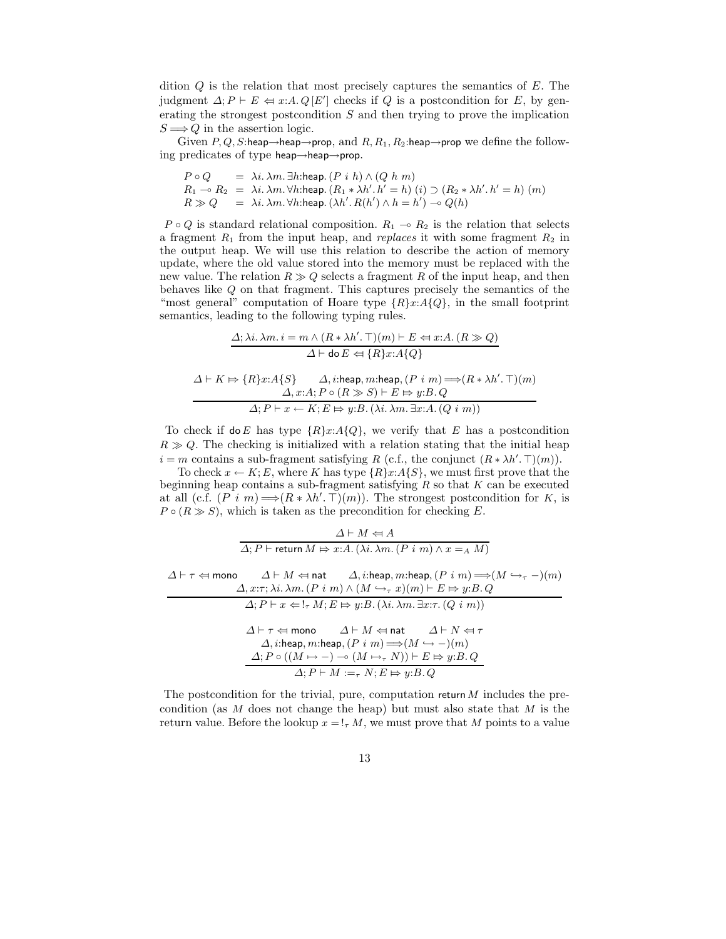dition Q is the relation that most precisely captures the semantics of E. The judgment  $\Delta; P \vdash E \Leftrightarrow x:A. Q [E']$  checks if Q is a postcondition for E, by generating the strongest postcondition  $S$  and then trying to prove the implication  $S \Longrightarrow Q$  in the assertion logic.

Given  $P, Q, S:$ heap→heap→prop, and  $R, R_1, R_2:$ heap→prop we define the following predicates of type heap→heap→prop.

$$
P \circ Q = \lambda i. \lambda m. \exists h: \text{heap.} (P \ i \ h) \land (Q \ h \ m)
$$
  
\n
$$
R_1 \multimap R_2 = \lambda i. \lambda m. \forall h: \text{heap.} (R_1 * \lambda h'. h' = h) (i) \supset (R_2 * \lambda h'. h' = h) (m)
$$
  
\n
$$
R \gg Q = \lambda i. \lambda m. \forall h: \text{heap.} (\lambda h'. R(h') \land h = h') \multimap Q(h)
$$

 $P \circ Q$  is standard relational composition.  $R_1 \multimap R_2$  is the relation that selects a fragment  $R_1$  from the input heap, and *replaces* it with some fragment  $R_2$  in the output heap. We will use this relation to describe the action of memory update, where the old value stored into the memory must be replaced with the new value. The relation  $R \gg Q$  selects a fragment R of the input heap, and then behaves like Q on that fragment. This captures precisely the semantics of the "most general" computation of Hoare type  $\{R\}x:A\{Q\}$ , in the small footprint semantics, leading to the following typing rules.

$$
\frac{\Delta; \lambda i. \lambda m. i = m \land (R * \lambda h'. \top)(m) \vdash E \Leftrightarrow x:A. (R \gg Q)}{\Delta \vdash \text{do } E \Leftrightarrow \{R\}x:A\{Q\}}
$$

$$
\Delta \vdash K \Rightarrow \{R\}x:A\{S\} \qquad \Delta, i:\text{heap}, m:\text{heap}, (P \text{ } i \text{ } m) \Longrightarrow (R * \lambda h'. \top)(m) \Delta, x:A; P \circ (R \gg S) \vdash E \Rightarrow y:B. Q \Delta; P \vdash x \leftarrow K; E \Rightarrow y:B. (\lambda i.\lambda m.\exists x:A. (Q \text{ } i \text{ } m))
$$

To check if  $\phi E$  has type  $\{R\}x:A\{Q\}$ , we verify that E has a postcondition  $R \gg Q$ . The checking is initialized with a relation stating that the initial heap  $i = m$  contains a sub-fragment satisfying R (c.f., the conjunct  $(R * \lambda h'.\top)(m)$ ).

To check  $x \leftarrow K$ ; E, where K has type  $\{R\}x:A\{S\}$ , we must first prove that the beginning heap contains a sub-fragment satisfying  $R$  so that  $K$  can be executed at all (c.f.  $(P^i m) \Longrightarrow (R * \lambda h'. \top)(m)$ ). The strongest postcondition for K, is  $P \circ (R \gg S)$ , which is taken as the precondition for checking E.

$$
\Delta \vdash M \Leftrightarrow A
$$
\n
$$
\overline{\Delta; P \vdash \text{return } M \Rightarrow x:A. (\lambda i. \lambda m. (P \ i \ m) \land x =_A M)}
$$
\n
$$
\Delta \vdash \tau \Leftrightarrow \text{mono} \qquad \Delta \vdash M \Leftrightarrow \text{nat} \qquad \Delta, i:\text{heap}, m:\text{heap}, (P \ i \ m) \Longrightarrow (M \hookrightarrow_{\tau} -)(m)
$$
\n
$$
\Delta, x:\tau; \lambda i. \lambda m. (P \ i \ m) \land (M \hookrightarrow_{\tau} x)(m) \vdash E \Leftrightarrow y:B.Q
$$
\n
$$
\Delta; P \vdash x \Leftarrow !_{\tau} M; E \Rightarrow y:B. (\lambda i. \lambda m. \exists x:\tau. (Q \ i \ m))
$$
\n
$$
\Delta \vdash \tau \Leftrightarrow \text{mono} \qquad \Delta \vdash M \Leftrightarrow \text{nat} \qquad \Delta \vdash N \Leftrightarrow \tau
$$
\n
$$
\Delta, i:\text{heap}, m:\text{heap}, (P \ i \ m) \Longrightarrow (M \hookrightarrow -)(m)
$$
\n
$$
\Delta; P \circ ((M \mapsto -) \multimap (M \mapsto_{\tau} N)) \vdash E \Leftrightarrow y:B.Q
$$
\n
$$
\Delta; P \vdash M :=_{\tau} N; E \models y:B.Q
$$

The postcondition for the trivial, pure, computation return  $M$  includes the precondition (as  $M$  does not change the heap) but must also state that  $M$  is the return value. Before the lookup  $x = I_{\tau} M$ , we must prove that M points to a value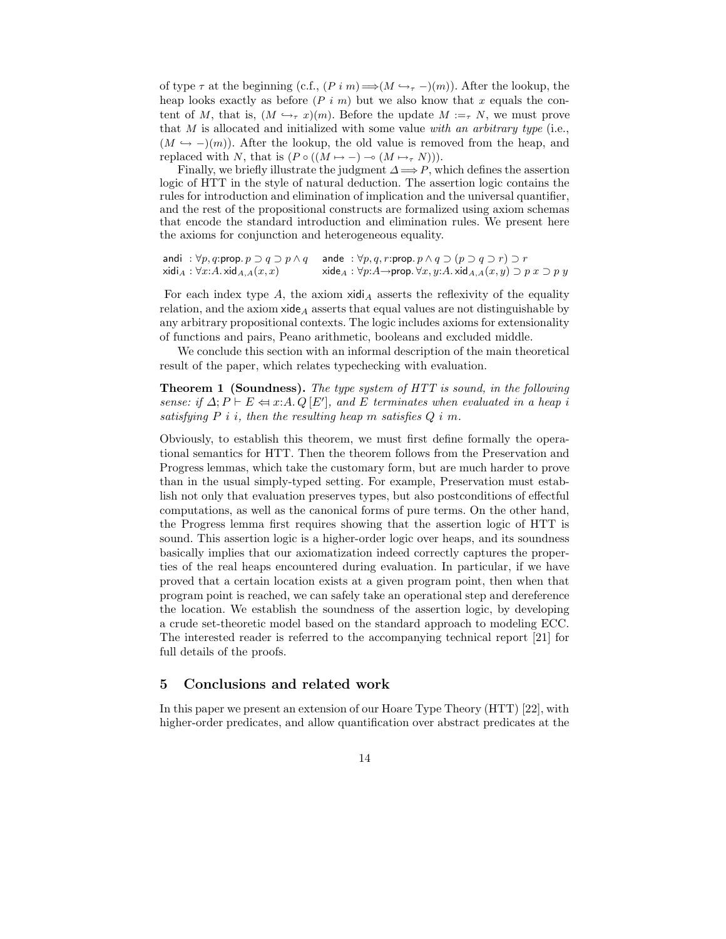of type  $\tau$  at the beginning (c.f.,  $(P \, i \, m) \Longrightarrow (M \leftrightarrow_{\tau} -)(m)$ ). After the lookup, the heap looks exactly as before  $(P_i m)$  but we also know that x equals the content of M, that is,  $(M \hookrightarrow_{\tau} x)(m)$ . Before the update  $M :=_{\tau} N$ , we must prove that M is allocated and initialized with some value with an arbitrary type (i.e.,  $(M \hookrightarrow -)(m)$ . After the lookup, the old value is removed from the heap, and replaced with N, that is  $(P \circ ((M \mapsto -) \multimap (M \mapsto_{\tau} N))).$ 

Finally, we briefly illustrate the judgment  $\Delta \Longrightarrow P$ , which defines the assertion logic of HTT in the style of natural deduction. The assertion logic contains the rules for introduction and elimination of implication and the universal quantifier, and the rest of the propositional constructs are formalized using axiom schemas that encode the standard introduction and elimination rules. We present here the axioms for conjunction and heterogeneous equality.

andi :  $\forall p,q$ :prop.  $p\supset q\supset p\wedge q$  ande :  $\forall p,q,r$ :prop.  $p\wedge q\supset (p\supset q\supset r)\supset r$  $xidi_A : \forall x:A.$   $xid_{A,A}(x, x)$  $xide_A: ∀p:A\rightarrow prop. ∀x, y:A. xid_{A,A}(x, y) ⊇ p x ⊇ p y$ 

For each index type A, the axiom  $xidA$  asserts the reflexivity of the equality relation, and the axiom  $xide_A$  asserts that equal values are not distinguishable by any arbitrary propositional contexts. The logic includes axioms for extensionality of functions and pairs, Peano arithmetic, booleans and excluded middle.

We conclude this section with an informal description of the main theoretical result of the paper, which relates typechecking with evaluation.

Theorem 1 (Soundness). The type system of HTT is sound, in the following sense: if  $\Delta; P \vdash E \Leftrightarrow x:A. Q [E'],$  and E terminates when evaluated in a heap i satisfying  $P$  i i, then the resulting heap m satisfies  $Q$  i m.

Obviously, to establish this theorem, we must first define formally the operational semantics for HTT. Then the theorem follows from the Preservation and Progress lemmas, which take the customary form, but are much harder to prove than in the usual simply-typed setting. For example, Preservation must establish not only that evaluation preserves types, but also postconditions of effectful computations, as well as the canonical forms of pure terms. On the other hand, the Progress lemma first requires showing that the assertion logic of HTT is sound. This assertion logic is a higher-order logic over heaps, and its soundness basically implies that our axiomatization indeed correctly captures the properties of the real heaps encountered during evaluation. In particular, if we have proved that a certain location exists at a given program point, then when that program point is reached, we can safely take an operational step and dereference the location. We establish the soundness of the assertion logic, by developing a crude set-theoretic model based on the standard approach to modeling ECC. The interested reader is referred to the accompanying technical report [21] for full details of the proofs.

### 5 Conclusions and related work

In this paper we present an extension of our Hoare Type Theory (HTT) [22], with higher-order predicates, and allow quantification over abstract predicates at the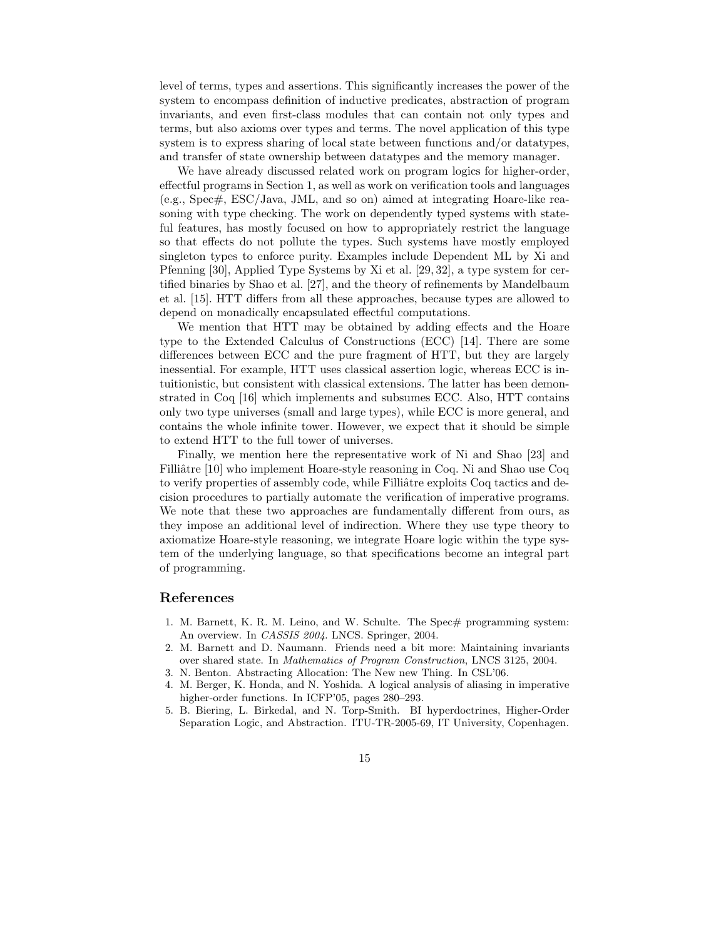level of terms, types and assertions. This significantly increases the power of the system to encompass definition of inductive predicates, abstraction of program invariants, and even first-class modules that can contain not only types and terms, but also axioms over types and terms. The novel application of this type system is to express sharing of local state between functions and/or datatypes, and transfer of state ownership between datatypes and the memory manager.

We have already discussed related work on program logics for higher-order, effectful programs in Section 1, as well as work on verification tools and languages (e.g., Spec#, ESC/Java, JML, and so on) aimed at integrating Hoare-like reasoning with type checking. The work on dependently typed systems with stateful features, has mostly focused on how to appropriately restrict the language so that effects do not pollute the types. Such systems have mostly employed singleton types to enforce purity. Examples include Dependent ML by Xi and Pfenning [30], Applied Type Systems by Xi et al. [29, 32], a type system for certified binaries by Shao et al. [27], and the theory of refinements by Mandelbaum et al. [15]. HTT differs from all these approaches, because types are allowed to depend on monadically encapsulated effectful computations.

We mention that HTT may be obtained by adding effects and the Hoare type to the Extended Calculus of Constructions (ECC) [14]. There are some differences between ECC and the pure fragment of HTT, but they are largely inessential. For example, HTT uses classical assertion logic, whereas ECC is intuitionistic, but consistent with classical extensions. The latter has been demonstrated in Coq [16] which implements and subsumes ECC. Also, HTT contains only two type universes (small and large types), while ECC is more general, and contains the whole infinite tower. However, we expect that it should be simple to extend HTT to the full tower of universes.

Finally, we mention here the representative work of Ni and Shao [23] and Filliâtre [10] who implement Hoare-style reasoning in Coq. Ni and Shao use Coq to verify properties of assembly code, while Filliâtre exploits Coq tactics and decision procedures to partially automate the verification of imperative programs. We note that these two approaches are fundamentally different from ours, as they impose an additional level of indirection. Where they use type theory to axiomatize Hoare-style reasoning, we integrate Hoare logic within the type system of the underlying language, so that specifications become an integral part of programming.

#### References

- 1. M. Barnett, K. R. M. Leino, and W. Schulte. The Spec# programming system: An overview. In CASSIS 2004. LNCS. Springer, 2004.
- 2. M. Barnett and D. Naumann. Friends need a bit more: Maintaining invariants over shared state. In Mathematics of Program Construction, LNCS 3125, 2004.
- 3. N. Benton. Abstracting Allocation: The New new Thing. In CSL'06.
- 4. M. Berger, K. Honda, and N. Yoshida. A logical analysis of aliasing in imperative higher-order functions. In ICFP'05, pages 280–293.
- 5. B. Biering, L. Birkedal, and N. Torp-Smith. BI hyperdoctrines, Higher-Order Separation Logic, and Abstraction. ITU-TR-2005-69, IT University, Copenhagen.